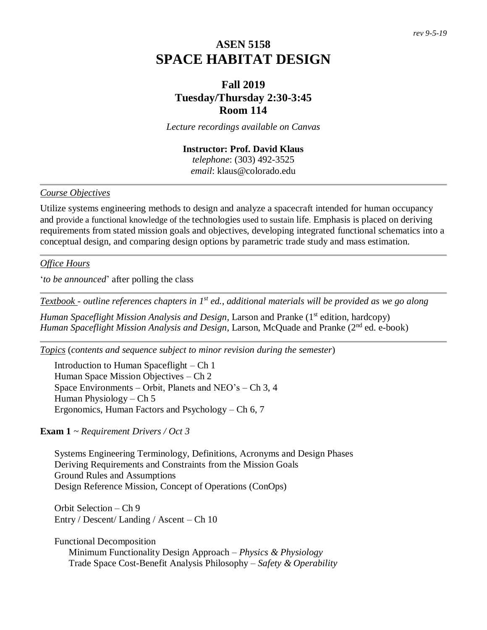# **ASEN 5158 SPACE HABITAT DESIGN**

# **Fall 2019 Tuesday/Thursday 2:30-3:45 Room 114**

*Lecture recordings available on Canvas*

## **Instructor: Prof. David Klaus**  *telephone*: (303) 492-3525

*email*: klaus@colorado.edu

### *Course Objectives*

Utilize systems engineering methods to design and analyze a spacecraft intended for human occupancy and provide a functional knowledge of the technologies used to sustain life. Emphasis is placed on deriving requirements from stated mission goals and objectives, developing integrated functional schematics into a conceptual design, and comparing design options by parametric trade study and mass estimation.

### *Office Hours*

'*to be announced*' after polling the class

*Textbook - outline references chapters in 1st ed., additional materials will be provided as we go along*

*Human Spaceflight Mission Analysis and Design*, Larson and Pranke (1<sup>st</sup> edition, hardcopy) *Human Spaceflight Mission Analysis and Design*, Larson, McQuade and Pranke (2<sup>nd</sup> ed. e-book)

*Topics* (*contents and sequence subject to minor revision during the semester*)

Introduction to Human Spaceflight – Ch 1 Human Space Mission Objectives – Ch 2 Space Environments – Orbit, Planets and NEO's – Ch 3, 4 Human Physiology – Ch 5 Ergonomics, Human Factors and Psychology – Ch 6, 7

### **Exam 1** *~ Requirement Drivers / Oct 3*

Systems Engineering Terminology, Definitions, Acronyms and Design Phases Deriving Requirements and Constraints from the Mission Goals Ground Rules and Assumptions Design Reference Mission, Concept of Operations (ConOps)

Orbit Selection – Ch 9 Entry / Descent/ Landing / Ascent – Ch 10

Functional Decomposition Minimum Functionality Design Approach – *Physics & Physiology* Trade Space Cost-Benefit Analysis Philosophy – *Safety & Operability*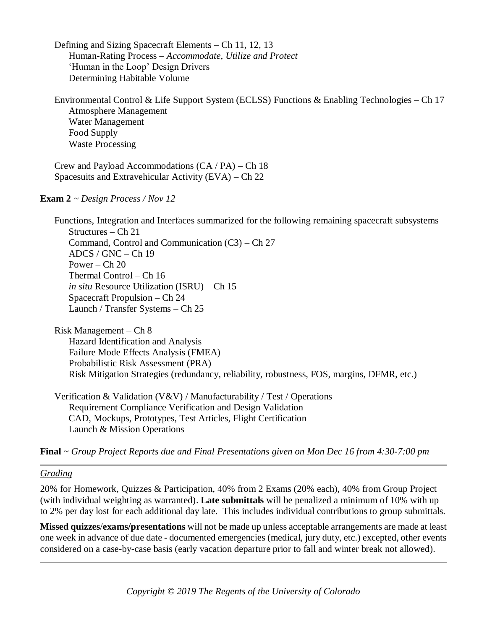Defining and Sizing Spacecraft Elements – Ch 11, 12, 13 Human-Rating Process – *Accommodate, Utilize and Protect* 'Human in the Loop' Design Drivers Determining Habitable Volume

Environmental Control & Life Support System (ECLSS) Functions & Enabling Technologies – Ch 17 Atmosphere Management Water Management Food Supply Waste Processing

Crew and Payload Accommodations (CA / PA) – Ch 18 Spacesuits and Extravehicular Activity (EVA) – Ch 22

### **Exam 2** *~ Design Process / Nov 12*

Functions, Integration and Interfaces summarized for the following remaining spacecraft subsystems Structures – Ch 21 Command, Control and Communication (C3) – Ch 27 ADCS / GNC – Ch 19 Power –  $Ch 20$ Thermal Control – Ch 16 *in situ* Resource Utilization (ISRU) – Ch 15 Spacecraft Propulsion – Ch 24 Launch / Transfer Systems – Ch 25

Risk Management – Ch 8 Hazard Identification and Analysis Failure Mode Effects Analysis (FMEA) Probabilistic Risk Assessment (PRA) Risk Mitigation Strategies (redundancy, reliability, robustness, FOS, margins, DFMR, etc.)

Verification & Validation (V&V) / Manufacturability / Test / Operations Requirement Compliance Verification and Design Validation CAD, Mockups, Prototypes, Test Articles, Flight Certification Launch & Mission Operations

**Final** *~ Group Project Reports due and Final Presentations given on Mon Dec 16 from 4:30-7:00 pm*

### *Grading*

20% for Homework, Quizzes & Participation, 40% from 2 Exams (20% each), 40% from Group Project (with individual weighting as warranted). **Late submittals** will be penalized a minimum of 10% with up to 2% per day lost for each additional day late. This includes individual contributions to group submittals.

**Missed quizzes**/**exams/presentations** will not be made up unless acceptable arrangements are made at least one week in advance of due date - documented emergencies (medical, jury duty, etc.) excepted, other events considered on a case-by-case basis (early vacation departure prior to fall and winter break not allowed).